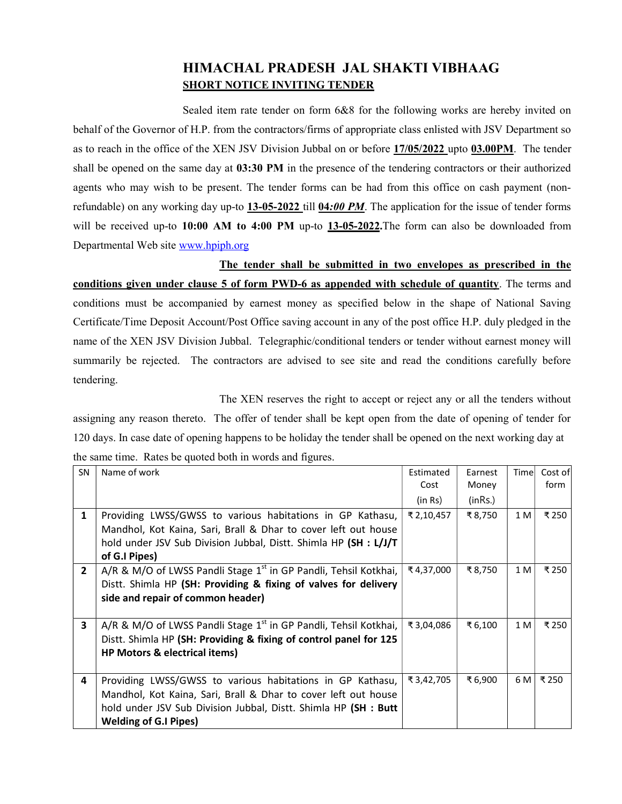## HIMACHAL PRADESH JAL SHAKTI VIBHAAG SHORT NOTICE INVITING TENDER

 Sealed item rate tender on form 6&8 for the following works are hereby invited on behalf of the Governor of H.P. from the contractors/firms of appropriate class enlisted with JSV Department so as to reach in the office of the XEN JSV Division Jubbal on or before 17/05/2022 upto 03.00PM. The tender shall be opened on the same day at 03:30 PM in the presence of the tendering contractors or their authorized agents who may wish to be present. The tender forms can be had from this office on cash payment (nonrefundable) on any working day up-to  $13{\text -}05{\text -}2022$  till  $04{\text -}00$  PM. The application for the issue of tender forms will be received up-to 10:00 AM to 4:00 PM up-to 13-05-2022. The form can also be downloaded from Departmental Web site www.hpiph.org

 The tender shall be submitted in two envelopes as prescribed in the conditions given under clause 5 of form PWD-6 as appended with schedule of quantity. The terms and conditions must be accompanied by earnest money as specified below in the shape of National Saving Certificate/Time Deposit Account/Post Office saving account in any of the post office H.P. duly pledged in the name of the XEN JSV Division Jubbal. Telegraphic/conditional tenders or tender without earnest money will summarily be rejected. The contractors are advised to see site and read the conditions carefully before tendering.

 The XEN reserves the right to accept or reject any or all the tenders without assigning any reason thereto. The offer of tender shall be kept open from the date of opening of tender for 120 days. In case date of opening happens to be holiday the tender shall be opened on the next working day at the same time. Rates be quoted both in words and figures.

| <b>SN</b>      | Name of work                                                                 | Estimated  | Earnest | Timel | Cost of |
|----------------|------------------------------------------------------------------------------|------------|---------|-------|---------|
|                |                                                                              | Cost       | Money   |       | form    |
|                |                                                                              | (in Rs)    | (inRs.) |       |         |
| 1              | Providing LWSS/GWSS to various habitations in GP Kathasu,                    | ₹ 2,10,457 | ₹8,750  | 1 M   | ₹250    |
|                | Mandhol, Kot Kaina, Sari, Brall & Dhar to cover left out house               |            |         |       |         |
|                | hold under JSV Sub Division Jubbal, Distt. Shimla HP (SH : L/J/T             |            |         |       |         |
|                | of G.I Pipes)                                                                |            |         |       |         |
| $\overline{2}$ | A/R & M/O of LWSS Pandli Stage 1 <sup>st</sup> in GP Pandli, Tehsil Kotkhai, | ₹4,37,000  | ₹8,750  | 1 M   | ₹250    |
|                | Distt. Shimla HP (SH: Providing & fixing of valves for delivery              |            |         |       |         |
|                | side and repair of common header)                                            |            |         |       |         |
|                |                                                                              |            |         |       |         |
| 3              | A/R & M/O of LWSS Pandli Stage 1 <sup>st</sup> in GP Pandli, Tehsil Kotkhai, | ₹3,04,086  | ₹ 6,100 | 1 M   | ₹250    |
|                | Distt. Shimla HP (SH: Providing & fixing of control panel for 125            |            |         |       |         |
|                | HP Motors & electrical items)                                                |            |         |       |         |
|                |                                                                              |            |         |       |         |
| 4              | Providing LWSS/GWSS to various habitations in GP Kathasu,                    | ₹ 3,42,705 | ₹ 6,900 | 6 M   | ₹ 250   |
|                | Mandhol, Kot Kaina, Sari, Brall & Dhar to cover left out house               |            |         |       |         |
|                | hold under JSV Sub Division Jubbal, Distt. Shimla HP (SH : Butt              |            |         |       |         |
|                | <b>Welding of G.I Pipes)</b>                                                 |            |         |       |         |